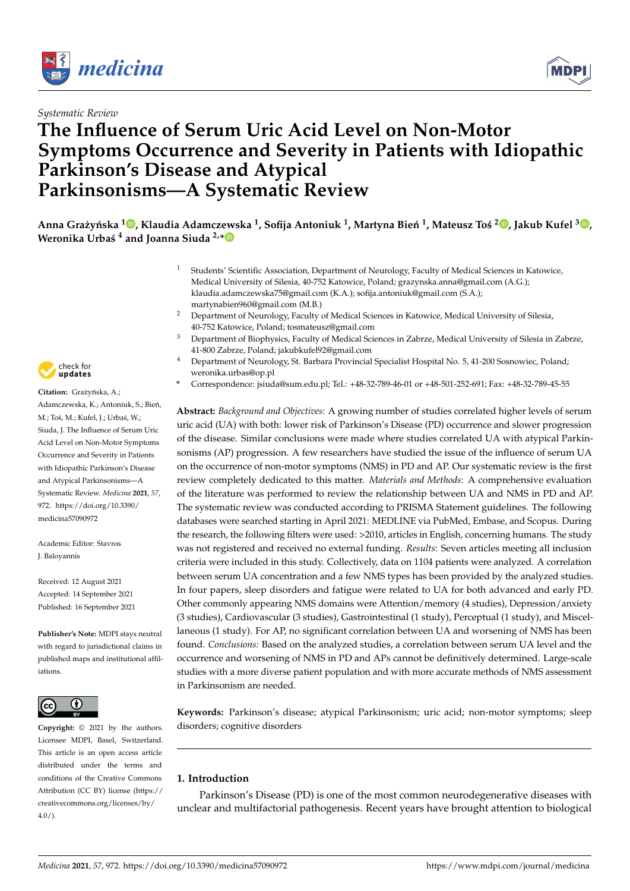



# **The Influence of Serum Uric Acid Level on Non-Motor Symptoms Occurrence and Severity in Patients with Idiopathic Parkinson's Disease and Atypical Parkinsonisms—A Systematic Review**



- <sup>1</sup> Students' Scientific Association, Department of Neurology, Faculty of Medical Sciences in Katowice, Medical University of Silesia, 40-752 Katowice, Poland; grazynska.anna@gmail.com (A.G.); klaudia.adamczewska75@gmail.com (K.A.); sofija.antoniuk@gmail.com (S.A.); martynabien960@gmail.com (M.B.)
- <sup>2</sup> Department of Neurology, Faculty of Medical Sciences in Katowice, Medical University of Silesia, 40-752 Katowice, Poland; tosmateusz@gmail.com
- <sup>3</sup> Department of Biophysics, Faculty of Medical Sciences in Zabrze, Medical University of Silesia in Zabrze, 41-800 Zabrze, Poland; jakubkufel92@gmail.com
- <sup>4</sup> Department of Neurology, St. Barbara Provincial Specialist Hospital No. 5, 41-200 Sosnowiec, Poland; weronika.urbas@op.pl
- **\*** Correspondence: jsiuda@sum.edu.pl; Tel.: +48-32-789-46-01 or +48-501-252-691; Fax: +48-32-789-45-55

**Abstract:** *Background and Objectives*: A growing number of studies correlated higher levels of serum uric acid (UA) with both: lower risk of Parkinson's Disease (PD) occurrence and slower progression of the disease. Similar conclusions were made where studies correlated UA with atypical Parkinsonisms (AP) progression. A few researchers have studied the issue of the influence of serum UA on the occurrence of non-motor symptoms (NMS) in PD and AP. Our systematic review is the first review completely dedicated to this matter. *Materials and Methods*: A comprehensive evaluation of the literature was performed to review the relationship between UA and NMS in PD and AP. The systematic review was conducted according to PRISMA Statement guidelines. The following databases were searched starting in April 2021: MEDLINE via PubMed, Embase, and Scopus. During the research, the following filters were used: >2010, articles in English, concerning humans. The study was not registered and received no external funding. *Results*: Seven articles meeting all inclusion criteria were included in this study. Collectively, data on 1104 patients were analyzed. A correlation between serum UA concentration and a few NMS types has been provided by the analyzed studies. In four papers, sleep disorders and fatigue were related to UA for both advanced and early PD. Other commonly appearing NMS domains were Attention/memory (4 studies), Depression/anxiety (3 studies), Cardiovascular (3 studies), Gastrointestinal (1 study), Perceptual (1 study), and Miscellaneous (1 study). For AP, no significant correlation between UA and worsening of NMS has been found. *Conclusions:* Based on the analyzed studies, a correlation between serum UA level and the occurrence and worsening of NMS in PD and APs cannot be definitively determined. Large-scale studies with a more diverse patient population and with more accurate methods of NMS assessment in Parkinsonism are needed.

**Keywords:** Parkinson's disease; atypical Parkinsonism; uric acid; non-motor symptoms; sleep disorders; cognitive disorders

# **1. Introduction**

Parkinson's Disease (PD) is one of the most common neurodegenerative diseases with unclear and multifactorial pathogenesis. Recent years have brought attention to biological



Citation: Grażyńska, A.; Adamczewska, K.; Antoniuk, S.; Bień, M.; Toś, M.; Kufel, J.; Urbaś, W.; Siuda, J. The Influence of Serum Uric Acid Level on Non-Motor Symptoms Occurrence and Severity in Patients with Idiopathic Parkinson's Disease and Atypical Parkinsonisms—A Systematic Review. *Medicina* **2021**, *57*, 972. [https://doi.org/10.3390/](https://doi.org/10.3390/medicina57090972) [medicina57090972](https://doi.org/10.3390/medicina57090972)

Academic Editor: Stavros J. Baloyannis

Received: 12 August 2021 Accepted: 14 September 2021 Published: 16 September 2021

**Publisher's Note:** MDPI stays neutral with regard to jurisdictional claims in published maps and institutional affiliations.



**Copyright:** © 2021 by the authors. Licensee MDPI, Basel, Switzerland. This article is an open access article distributed under the terms and conditions of the Creative Commons Attribution (CC BY) license (https:/[/](https://creativecommons.org/licenses/by/4.0/) [creativecommons.org/licenses/by/](https://creativecommons.org/licenses/by/4.0/)  $4.0/$ ).

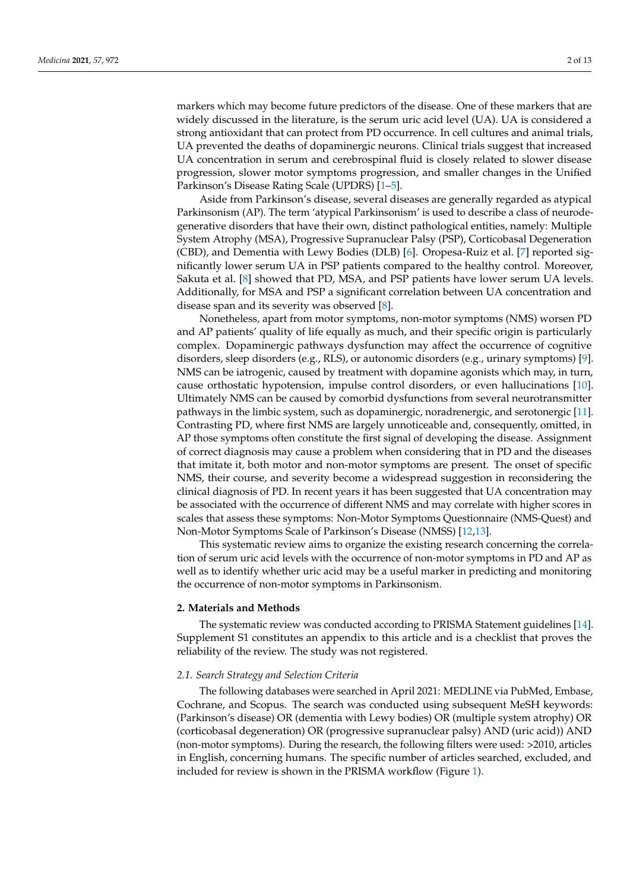markers which may become future predictors of the disease. One of these markers that are widely discussed in the literature, is the serum uric acid level (UA). UA is considered a strong antioxidant that can protect from PD occurrence. In cell cultures and animal trials, UA prevented the deaths of dopaminergic neurons. Clinical trials suggest that increased UA concentration in serum and cerebrospinal fluid is closely related to slower disease progression, slower motor symptoms progression, and smaller changes in the Unified Parkinson's Disease Rating Scale (UPDRS) [\[1–](#page-10-0)[5\]](#page-10-1).

Aside from Parkinson's disease, several diseases are generally regarded as atypical Parkinsonism (AP). The term 'atypical Parkinsonism' is used to describe a class of neurodegenerative disorders that have their own, distinct pathological entities, namely: Multiple System Atrophy (MSA), Progressive Supranuclear Palsy (PSP), Corticobasal Degeneration (CBD), and Dementia with Lewy Bodies (DLB) [\[6\]](#page-10-2). Oropesa-Ruiz et al. [\[7\]](#page-10-3) reported significantly lower serum UA in PSP patients compared to the healthy control. Moreover, Sakuta et al. [\[8\]](#page-10-4) showed that PD, MSA, and PSP patients have lower serum UA levels. Additionally, for MSA and PSP a significant correlation between UA concentration and disease span and its severity was observed [\[8\]](#page-10-4).

Nonetheless, apart from motor symptoms, non-motor symptoms (NMS) worsen PD and AP patients' quality of life equally as much, and their specific origin is particularly complex. Dopaminergic pathways dysfunction may affect the occurrence of cognitive disorders, sleep disorders (e.g., RLS), or autonomic disorders (e.g., urinary symptoms) [\[9\]](#page-10-5). NMS can be iatrogenic, caused by treatment with dopamine agonists which may, in turn, cause orthostatic hypotension, impulse control disorders, or even hallucinations [\[10\]](#page-10-6). Ultimately NMS can be caused by comorbid dysfunctions from several neurotransmitter pathways in the limbic system, such as dopaminergic, noradrenergic, and serotonergic [\[11\]](#page-10-7). Contrasting PD, where first NMS are largely unnoticeable and, consequently, omitted, in AP those symptoms often constitute the first signal of developing the disease. Assignment of correct diagnosis may cause a problem when considering that in PD and the diseases that imitate it, both motor and non-motor symptoms are present. The onset of specific NMS, their course, and severity become a widespread suggestion in reconsidering the clinical diagnosis of PD. In recent years it has been suggested that UA concentration may be associated with the occurrence of different NMS and may correlate with higher scores in scales that assess these symptoms: Non-Motor Symptoms Questionnaire (NMS-Quest) and Non-Motor Symptoms Scale of Parkinson's Disease (NMSS) [\[12,](#page-10-8)[13\]](#page-10-9).

This systematic review aims to organize the existing research concerning the correlation of serum uric acid levels with the occurrence of non-motor symptoms in PD and AP as well as to identify whether uric acid may be a useful marker in predicting and monitoring the occurrence of non-motor symptoms in Parkinsonism.

#### **2. Materials and Methods**

The systematic review was conducted according to PRISMA Statement guidelines [\[14\]](#page-11-0). Supplement S1 constitutes an appendix to this article and is a checklist that proves the reliability of the review. The study was not registered.

# *2.1. Search Strategy and Selection Criteria*

The following databases were searched in April 2021: MEDLINE via PubMed, Embase, Cochrane, and Scopus. The search was conducted using subsequent MeSH keywords: (Parkinson's disease) OR (dementia with Lewy bodies) OR (multiple system atrophy) OR (corticobasal degeneration) OR (progressive supranuclear palsy) AND (uric acid)) AND (non-motor symptoms). During the research, the following filters were used: >2010, articles in English, concerning humans. The specific number of articles searched, excluded, and included for review is shown in the PRISMA workflow (Figure [1\)](#page-2-0).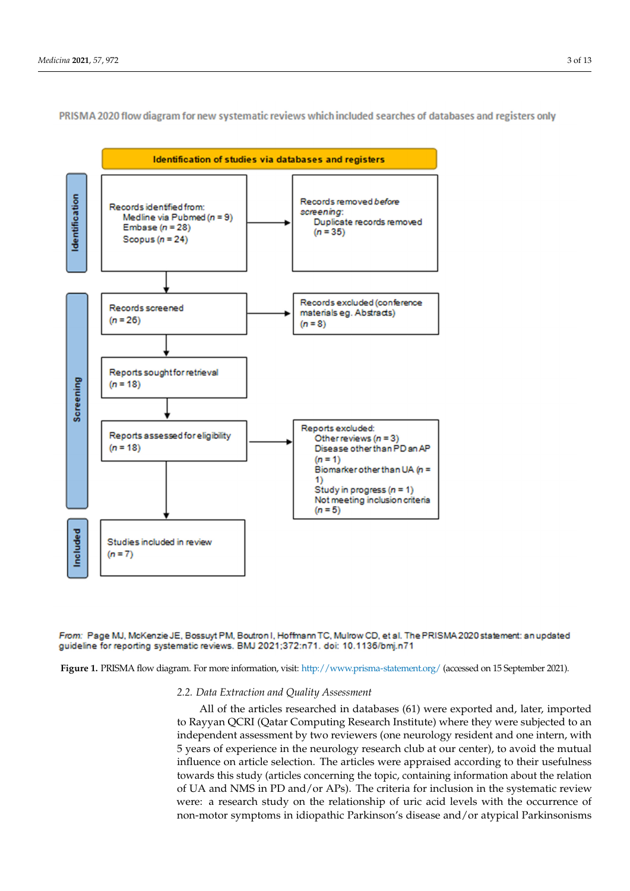

<span id="page-2-0"></span>PRISMA 2020 flow diagram for new systematic reviews which included searches of databases and registers only



Figure 1. PRISMA flow diagram. For more information, visit: <http://www.prisma-statement.org/> (accessed on 15 September 2021).

# **Figure 1.** PRISMA flow diagram. *2.2. Data Extraction and Quality Assessment*

*2.2. Data Extraction and Quality Assessment*  to Rayyan QCRI (Qatar Computing Research Institute) where they were subjected to an 5 years of experience in the neurology research club at our center), to avoid the mutual influence on article selection. The articles were appraised according to their usefulness towards this study (articles concerning the topic, containing information about the relation of UA and NMS in PD and/or APs). The criteria for inclusion in the systematic review increte a research state on the retationship of and actording with the occurrence of non-motor symptoms in idiopathic Parkinson's disease and/or atypical Parkinsonisms All of the articles researched in databases (61) were exported and, later, imported independent assessment by two reviewers (one neurology resident and one intern, with were: a research study on the relationship of uric acid levels with the occurrence of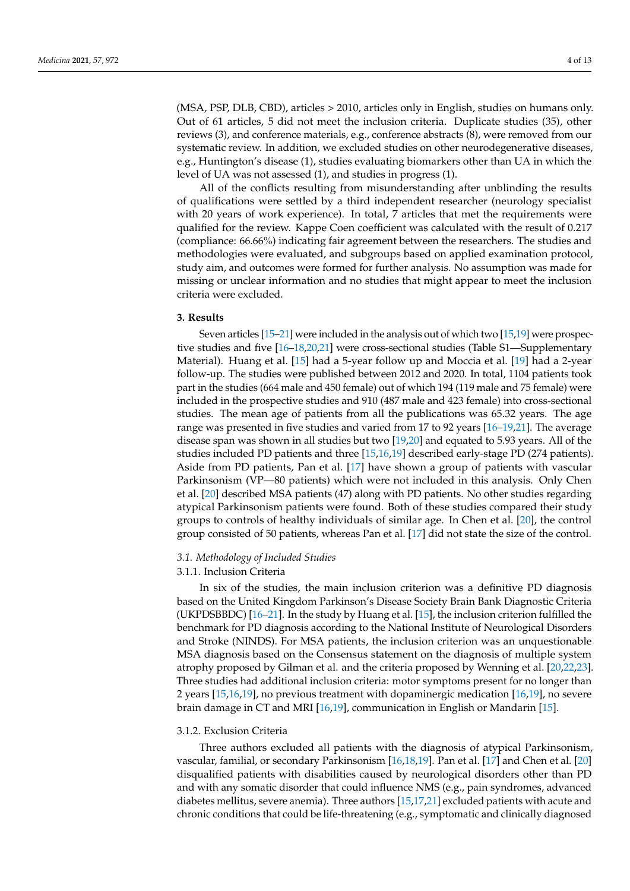(MSA, PSP, DLB, CBD), articles > 2010, articles only in English, studies on humans only. Out of 61 articles, 5 did not meet the inclusion criteria. Duplicate studies (35), other reviews (3), and conference materials, e.g., conference abstracts (8), were removed from our systematic review. In addition, we excluded studies on other neurodegenerative diseases, e.g., Huntington's disease (1), studies evaluating biomarkers other than UA in which the level of UA was not assessed (1), and studies in progress (1).

All of the conflicts resulting from misunderstanding after unblinding the results of qualifications were settled by a third independent researcher (neurology specialist with 20 years of work experience). In total, 7 articles that met the requirements were qualified for the review. Kappe Coen coefficient was calculated with the result of 0.217 (compliance: 66.66%) indicating fair agreement between the researchers. The studies and methodologies were evaluated, and subgroups based on applied examination protocol, study aim, and outcomes were formed for further analysis. No assumption was made for missing or unclear information and no studies that might appear to meet the inclusion criteria were excluded.

# **3. Results**

Seven articles [\[15–](#page-11-1)[21\]](#page-11-2) were included in the analysis out of which two [\[15](#page-11-1)[,19\]](#page-11-3) were prospective studies and five [\[16–](#page-11-4)[18,](#page-11-5)[20,](#page-11-6)[21\]](#page-11-2) were cross-sectional studies (Table S1—Supplementary Material). Huang et al. [\[15\]](#page-11-1) had a 5-year follow up and Moccia et al. [\[19\]](#page-11-3) had a 2-year follow-up. The studies were published between 2012 and 2020. In total, 1104 patients took part in the studies (664 male and 450 female) out of which 194 (119 male and 75 female) were included in the prospective studies and 910 (487 male and 423 female) into cross-sectional studies. The mean age of patients from all the publications was 65.32 years. The age range was presented in five studies and varied from 17 to 92 years [\[16](#page-11-4)[–19](#page-11-3)[,21\]](#page-11-2). The average disease span was shown in all studies but two [\[19](#page-11-3)[,20\]](#page-11-6) and equated to 5.93 years. All of the studies included PD patients and three [\[15,](#page-11-1)[16,](#page-11-4)[19\]](#page-11-3) described early-stage PD (274 patients). Aside from PD patients, Pan et al. [\[17\]](#page-11-7) have shown a group of patients with vascular Parkinsonism (VP—80 patients) which were not included in this analysis. Only Chen et al. [\[20\]](#page-11-6) described MSA patients (47) along with PD patients. No other studies regarding atypical Parkinsonism patients were found. Both of these studies compared their study groups to controls of healthy individuals of similar age. In Chen et al. [\[20\]](#page-11-6), the control group consisted of 50 patients, whereas Pan et al. [\[17\]](#page-11-7) did not state the size of the control.

#### *3.1. Methodology of Included Studies*

# 3.1.1. Inclusion Criteria

In six of the studies, the main inclusion criterion was a definitive PD diagnosis based on the United Kingdom Parkinson's Disease Society Brain Bank Diagnostic Criteria (UKPDSBBDC) [\[16](#page-11-4)[–21\]](#page-11-2). In the study by Huang et al. [\[15\]](#page-11-1), the inclusion criterion fulfilled the benchmark for PD diagnosis according to the National Institute of Neurological Disorders and Stroke (NINDS). For MSA patients, the inclusion criterion was an unquestionable MSA diagnosis based on the Consensus statement on the diagnosis of multiple system atrophy proposed by Gilman et al. and the criteria proposed by Wenning et al. [\[20,](#page-11-6)[22,](#page-11-8)[23\]](#page-11-9). Three studies had additional inclusion criteria: motor symptoms present for no longer than 2 years [\[15](#page-11-1)[,16,](#page-11-4)[19\]](#page-11-3), no previous treatment with dopaminergic medication [\[16,](#page-11-4)[19\]](#page-11-3), no severe brain damage in CT and MRI [\[16](#page-11-4)[,19\]](#page-11-3), communication in English or Mandarin [\[15\]](#page-11-1).

#### 3.1.2. Exclusion Criteria

Three authors excluded all patients with the diagnosis of atypical Parkinsonism, vascular, familial, or secondary Parkinsonism [\[16,](#page-11-4)[18,](#page-11-5)[19\]](#page-11-3). Pan et al. [\[17\]](#page-11-7) and Chen et al. [\[20\]](#page-11-6) disqualified patients with disabilities caused by neurological disorders other than PD and with any somatic disorder that could influence NMS (e.g., pain syndromes, advanced diabetes mellitus, severe anemia). Three authors [\[15,](#page-11-1)[17](#page-11-7)[,21\]](#page-11-2) excluded patients with acute and chronic conditions that could be life-threatening (e.g., symptomatic and clinically diagnosed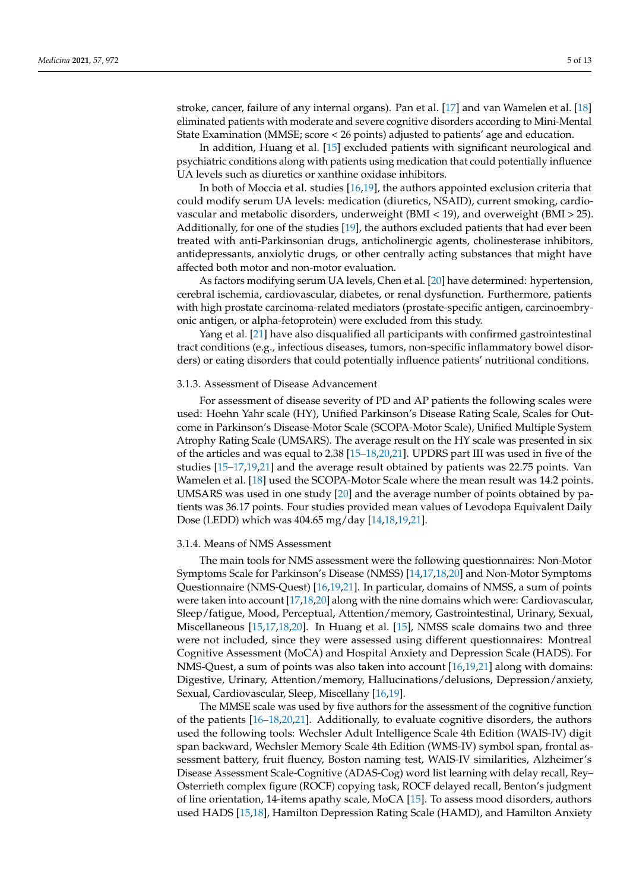stroke, cancer, failure of any internal organs). Pan et al. [\[17\]](#page-11-7) and van Wamelen et al. [\[18\]](#page-11-5) eliminated patients with moderate and severe cognitive disorders according to Mini-Mental State Examination (MMSE; score < 26 points) adjusted to patients' age and education.

In addition, Huang et al. [\[15\]](#page-11-1) excluded patients with significant neurological and psychiatric conditions along with patients using medication that could potentially influence UA levels such as diuretics or xanthine oxidase inhibitors.

In both of Moccia et al. studies [\[16](#page-11-4)[,19\]](#page-11-3), the authors appointed exclusion criteria that could modify serum UA levels: medication (diuretics, NSAID), current smoking, cardiovascular and metabolic disorders, underweight (BMI < 19), and overweight (BMI > 25). Additionally, for one of the studies [\[19\]](#page-11-3), the authors excluded patients that had ever been treated with anti-Parkinsonian drugs, anticholinergic agents, cholinesterase inhibitors, antidepressants, anxiolytic drugs, or other centrally acting substances that might have affected both motor and non-motor evaluation.

As factors modifying serum UA levels, Chen et al. [\[20\]](#page-11-6) have determined: hypertension, cerebral ischemia, cardiovascular, diabetes, or renal dysfunction. Furthermore, patients with high prostate carcinoma-related mediators (prostate-specific antigen, carcinoembryonic antigen, or alpha-fetoprotein) were excluded from this study.

Yang et al. [\[21\]](#page-11-2) have also disqualified all participants with confirmed gastrointestinal tract conditions (e.g., infectious diseases, tumors, non-specific inflammatory bowel disorders) or eating disorders that could potentially influence patients' nutritional conditions.

#### 3.1.3. Assessment of Disease Advancement

For assessment of disease severity of PD and AP patients the following scales were used: Hoehn Yahr scale (HY), Unified Parkinson's Disease Rating Scale, Scales for Outcome in Parkinson's Disease-Motor Scale (SCOPA-Motor Scale), Unified Multiple System Atrophy Rating Scale (UMSARS). The average result on the HY scale was presented in six of the articles and was equal to 2.38 [\[15–](#page-11-1)[18](#page-11-5)[,20](#page-11-6)[,21\]](#page-11-2). UPDRS part III was used in five of the studies [\[15–](#page-11-1)[17,](#page-11-7)[19,](#page-11-3)[21\]](#page-11-2) and the average result obtained by patients was 22.75 points. Van Wamelen et al. [\[18\]](#page-11-5) used the SCOPA-Motor Scale where the mean result was 14.2 points. UMSARS was used in one study [\[20\]](#page-11-6) and the average number of points obtained by patients was 36.17 points. Four studies provided mean values of Levodopa Equivalent Daily Dose (LEDD) which was 404.65 mg/day [\[14](#page-11-0)[,18](#page-11-5)[,19](#page-11-3)[,21\]](#page-11-2).

#### 3.1.4. Means of NMS Assessment

The main tools for NMS assessment were the following questionnaires: Non-Motor Symptoms Scale for Parkinson's Disease (NMSS) [\[14,](#page-11-0)[17,](#page-11-7)[18](#page-11-5)[,20\]](#page-11-6) and Non-Motor Symptoms Questionnaire (NMS-Quest) [\[16](#page-11-4)[,19](#page-11-3)[,21\]](#page-11-2). In particular, domains of NMSS, a sum of points were taken into account [\[17,](#page-11-7)[18,](#page-11-5)[20\]](#page-11-6) along with the nine domains which were: Cardiovascular, Sleep/fatigue, Mood, Perceptual, Attention/memory, Gastrointestinal, Urinary, Sexual, Miscellaneous [\[15,](#page-11-1)[17,](#page-11-7)[18,](#page-11-5)[20\]](#page-11-6). In Huang et al. [\[15\]](#page-11-1), NMSS scale domains two and three were not included, since they were assessed using different questionnaires: Montreal Cognitive Assessment (MoCA) and Hospital Anxiety and Depression Scale (HADS). For NMS-Quest, a sum of points was also taken into account [\[16,](#page-11-4)[19,](#page-11-3)[21\]](#page-11-2) along with domains: Digestive, Urinary, Attention/memory, Hallucinations/delusions, Depression/anxiety, Sexual, Cardiovascular, Sleep, Miscellany [\[16,](#page-11-4)[19\]](#page-11-3).

The MMSE scale was used by five authors for the assessment of the cognitive function of the patients [\[16–](#page-11-4)[18](#page-11-5)[,20](#page-11-6)[,21\]](#page-11-2). Additionally, to evaluate cognitive disorders, the authors used the following tools: Wechsler Adult Intelligence Scale 4th Edition (WAIS-IV) digit span backward, Wechsler Memory Scale 4th Edition (WMS-IV) symbol span, frontal assessment battery, fruit fluency, Boston naming test, WAIS-IV similarities, Alzheimer's Disease Assessment Scale-Cognitive (ADAS-Cog) word list learning with delay recall, Rey– Osterrieth complex figure (ROCF) copying task, ROCF delayed recall, Benton's judgment of line orientation, 14-items apathy scale, MoCA [\[15\]](#page-11-1). To assess mood disorders, authors used HADS [\[15,](#page-11-1)[18\]](#page-11-5), Hamilton Depression Rating Scale (HAMD), and Hamilton Anxiety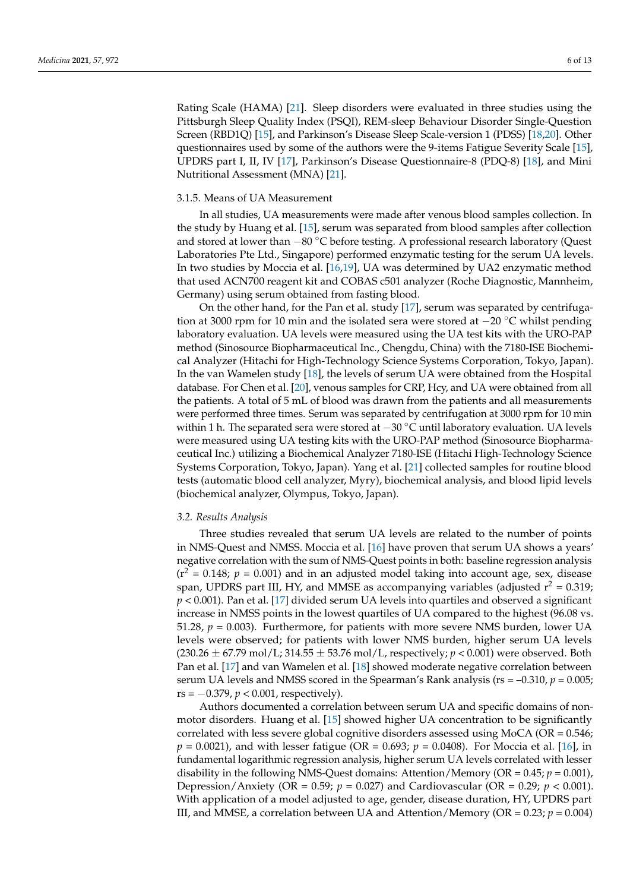Rating Scale (HAMA) [\[21\]](#page-11-2). Sleep disorders were evaluated in three studies using the Pittsburgh Sleep Quality Index (PSQI), REM-sleep Behaviour Disorder Single-Question Screen (RBD1Q) [\[15\]](#page-11-1), and Parkinson's Disease Sleep Scale-version 1 (PDSS) [\[18,](#page-11-5)[20\]](#page-11-6). Other questionnaires used by some of the authors were the 9-items Fatigue Severity Scale [\[15\]](#page-11-1), UPDRS part I, II, IV [\[17\]](#page-11-7), Parkinson's Disease Questionnaire-8 (PDQ-8) [\[18\]](#page-11-5), and Mini Nutritional Assessment (MNA) [\[21\]](#page-11-2).

### 3.1.5. Means of UA Measurement

In all studies, UA measurements were made after venous blood samples collection. In the study by Huang et al. [\[15\]](#page-11-1), serum was separated from blood samples after collection and stored at lower than −80 ◦C before testing. A professional research laboratory (Quest Laboratories Pte Ltd., Singapore) performed enzymatic testing for the serum UA levels. In two studies by Moccia et al. [\[16,](#page-11-4)[19\]](#page-11-3), UA was determined by UA2 enzymatic method that used ACN700 reagent kit and COBAS c501 analyzer (Roche Diagnostic, Mannheim, Germany) using serum obtained from fasting blood.

On the other hand, for the Pan et al. study [\[17\]](#page-11-7), serum was separated by centrifugation at 3000 rpm for 10 min and the isolated sera were stored at −20 ◦C whilst pending laboratory evaluation. UA levels were measured using the UA test kits with the URO-PAP method (Sinosource Biopharmaceutical Inc., Chengdu, China) with the 7180-ISE Biochemical Analyzer (Hitachi for High-Technology Science Systems Corporation, Tokyo, Japan). In the van Wamelen study [\[18\]](#page-11-5), the levels of serum UA were obtained from the Hospital database. For Chen et al. [\[20\]](#page-11-6), venous samples for CRP, Hcy, and UA were obtained from all the patients. A total of 5 mL of blood was drawn from the patients and all measurements were performed three times. Serum was separated by centrifugation at 3000 rpm for 10 min within 1 h. The separated sera were stored at −30 °C until laboratory evaluation. UA levels were measured using UA testing kits with the URO-PAP method (Sinosource Biopharmaceutical Inc.) utilizing a Biochemical Analyzer 7180-ISE (Hitachi High-Technology Science Systems Corporation, Tokyo, Japan). Yang et al. [\[21\]](#page-11-2) collected samples for routine blood tests (automatic blood cell analyzer, Myry), biochemical analysis, and blood lipid levels (biochemical analyzer, Olympus, Tokyo, Japan).

#### *3.2. Results Analysis*

Three studies revealed that serum UA levels are related to the number of points in NMS-Quest and NMSS. Moccia et al. [\[16\]](#page-11-4) have proven that serum UA shows a years' negative correlation with the sum of NMS-Quest points in both: baseline regression analysis  $(r^2 = 0.148; p = 0.001)$  and in an adjusted model taking into account age, sex, disease span, UPDRS part III, HY, and MMSE as accompanying variables (adjusted  $r^2 = 0.319$ ; *p* < 0.001). Pan et al. [\[17\]](#page-11-7) divided serum UA levels into quartiles and observed a significant increase in NMSS points in the lowest quartiles of UA compared to the highest (96.08 vs. 51.28,  $p = 0.003$ ). Furthermore, for patients with more severe NMS burden, lower UA levels were observed; for patients with lower NMS burden, higher serum UA levels  $(230.26 \pm 67.79 \,\text{mol/L}; 314.55 \pm 53.76 \,\text{mol/L}$ , respectively;  $p < 0.001$ ) were observed. Both Pan et al. [\[17\]](#page-11-7) and van Wamelen et al. [\[18\]](#page-11-5) showed moderate negative correlation between serum UA levels and NMSS scored in the Spearman's Rank analysis ( $rs = -0.310$ ,  $p = 0.005$ ; rs = −0.379, *p* < 0.001, respectively).

Authors documented a correlation between serum UA and specific domains of nonmotor disorders. Huang et al. [\[15\]](#page-11-1) showed higher UA concentration to be significantly correlated with less severe global cognitive disorders assessed using  $MoCA$  (OR = 0.546;  $p = 0.0021$ , and with lesser fatigue (OR = 0.693;  $p = 0.0408$ ). For Moccia et al. [\[16\]](#page-11-4), in fundamental logarithmic regression analysis, higher serum UA levels correlated with lesser disability in the following NMS-Quest domains: Attention/Memory (OR = 0.45; *p* = 0.001), Depression/Anxiety (OR =  $0.59$ ;  $p = 0.027$ ) and Cardiovascular (OR =  $0.29$ ;  $p < 0.001$ ). With application of a model adjusted to age, gender, disease duration, HY, UPDRS part III, and MMSE, a correlation between UA and Attention/Memory (OR =  $0.23$ ;  $p = 0.004$ )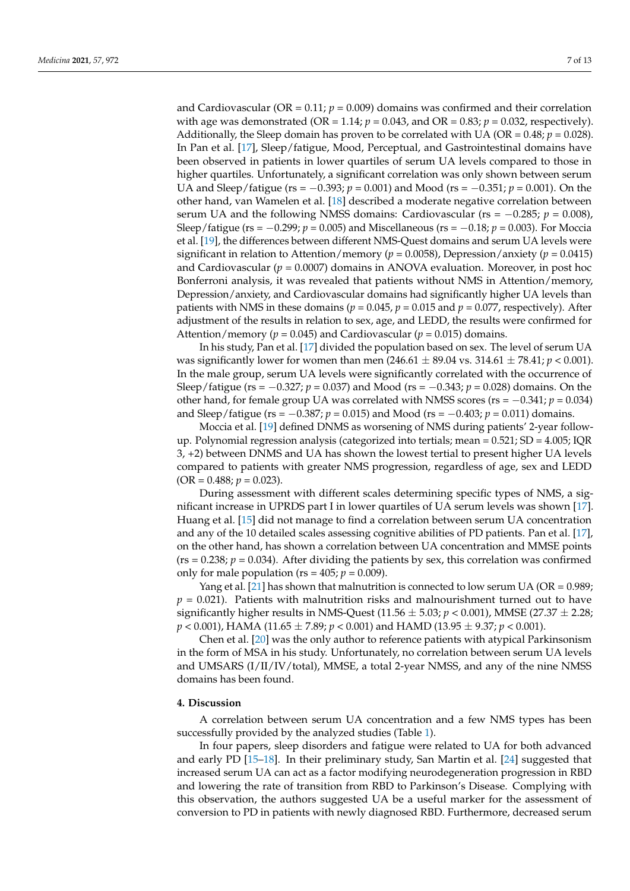and Cardiovascular (OR =  $0.11$ ;  $p = 0.009$ ) domains was confirmed and their correlation with age was demonstrated (OR = 1.14;  $p = 0.043$ , and OR = 0.83;  $p = 0.032$ , respectively). Additionally, the Sleep domain has proven to be correlated with UA (OR =  $0.48$ ;  $p = 0.028$ ). In Pan et al. [\[17\]](#page-11-7), Sleep/fatigue, Mood, Perceptual, and Gastrointestinal domains have been observed in patients in lower quartiles of serum UA levels compared to those in higher quartiles. Unfortunately, a significant correlation was only shown between serum UA and Sleep/fatigue (rs = −0.393; *p* = 0.001) and Mood (rs = −0.351; *p* = 0.001). On the other hand, van Wamelen et al. [\[18\]](#page-11-5) described a moderate negative correlation between serum UA and the following NMSS domains: Cardiovascular ( $rs = -0.285$ ;  $p = 0.008$ ), Sleep/fatigue (rs = −0.299; *p* = 0.005) and Miscellaneous (rs = −0.18; *p* = 0.003). For Moccia et al. [\[19\]](#page-11-3), the differences between different NMS-Quest domains and serum UA levels were significant in relation to Attention/memory ( $p = 0.0058$ ), Depression/anxiety ( $p = 0.0415$ ) and Cardiovascular ( $p = 0.0007$ ) domains in ANOVA evaluation. Moreover, in post hoc Bonferroni analysis, it was revealed that patients without NMS in Attention/memory, Depression/anxiety, and Cardiovascular domains had significantly higher UA levels than patients with NMS in these domains ( $p = 0.045$ ,  $p = 0.015$  and  $p = 0.077$ , respectively). After adjustment of the results in relation to sex, age, and LEDD, the results were confirmed for Attention/memory ( $p = 0.045$ ) and Cardiovascular ( $p = 0.015$ ) domains.

In his study, Pan et al. [\[17\]](#page-11-7) divided the population based on sex. The level of serum UA was significantly lower for women than men  $(246.61 \pm 89.04 \text{ vs. } 314.61 \pm 78.41; p < 0.001)$ . In the male group, serum UA levels were significantly correlated with the occurrence of Sleep/fatigue (rs = −0.327; *p* = 0.037) and Mood (rs = −0.343; *p* = 0.028) domains. On the other hand, for female group UA was correlated with NMSS scores (rs = −0.341; *p* = 0.034) and Sleep/fatigue (rs = −0.387; *p* = 0.015) and Mood (rs = −0.403; *p* = 0.011) domains.

Moccia et al. [\[19\]](#page-11-3) defined DNMS as worsening of NMS during patients' 2-year followup. Polynomial regression analysis (categorized into tertials; mean =  $0.521$ ; SD =  $4.005$ ; IQR 3, +2) between DNMS and UA has shown the lowest tertial to present higher UA levels compared to patients with greater NMS progression, regardless of age, sex and LEDD  $(OR = 0.488; p = 0.023).$ 

During assessment with different scales determining specific types of NMS, a significant increase in UPRDS part I in lower quartiles of UA serum levels was shown [\[17\]](#page-11-7). Huang et al. [\[15\]](#page-11-1) did not manage to find a correlation between serum UA concentration and any of the 10 detailed scales assessing cognitive abilities of PD patients. Pan et al. [\[17\]](#page-11-7), on the other hand, has shown a correlation between UA concentration and MMSE points ( $rs = 0.238$ ;  $p = 0.034$ ). After dividing the patients by sex, this correlation was confirmed only for male population ( $rs = 405$ ;  $p = 0.009$ ).

Yang et al. [\[21\]](#page-11-2) has shown that malnutrition is connected to low serum UA (OR =  $0.989$ ;  $p = 0.021$ ). Patients with malnutrition risks and malnourishment turned out to have significantly higher results in NMS-Quest  $(11.56 \pm 5.03; p < 0.001)$ , MMSE  $(27.37 \pm 2.28;$ *p* < 0.001), HAMA (11.65 ± 7.89; *p* < 0.001) and HAMD (13.95 ± 9.37; *p* < 0.001).

Chen et al. [\[20\]](#page-11-6) was the only author to reference patients with atypical Parkinsonism in the form of MSA in his study. Unfortunately, no correlation between serum UA levels and UMSARS (I/II/IV/total), MMSE, a total 2-year NMSS, and any of the nine NMSS domains has been found.

# **4. Discussion**

A correlation between serum UA concentration and a few NMS types has been successfully provided by the analyzed studies (Table [1\)](#page-7-0).

In four papers, sleep disorders and fatigue were related to UA for both advanced and early PD [\[15](#page-11-1)[–18\]](#page-11-5). In their preliminary study, San Martin et al. [\[24\]](#page-11-10) suggested that increased serum UA can act as a factor modifying neurodegeneration progression in RBD and lowering the rate of transition from RBD to Parkinson's Disease. Complying with this observation, the authors suggested UA be a useful marker for the assessment of conversion to PD in patients with newly diagnosed RBD. Furthermore, decreased serum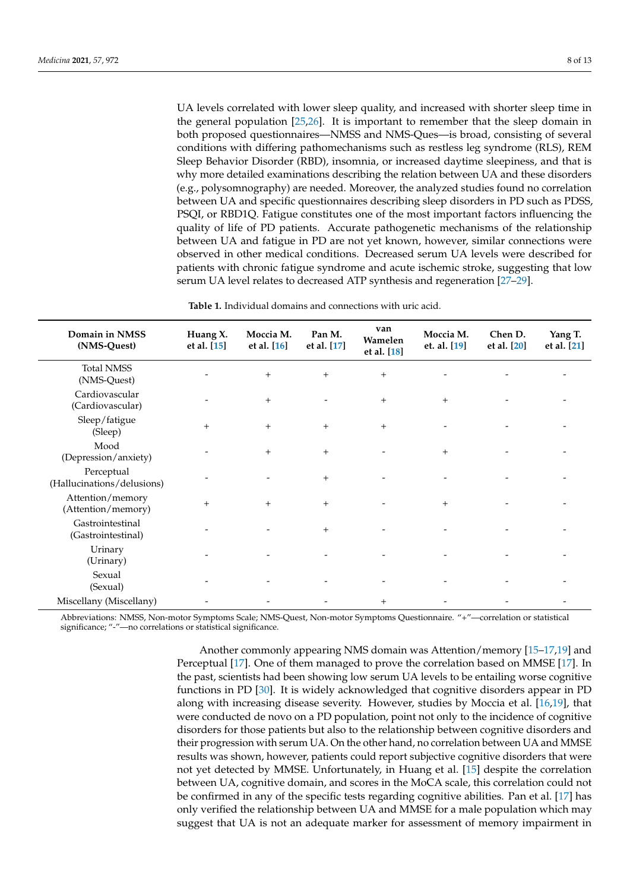UA levels correlated with lower sleep quality, and increased with shorter sleep time in the general population [\[25,](#page-11-11)[26\]](#page-11-12). It is important to remember that the sleep domain in both proposed questionnaires—NMSS and NMS-Ques—is broad, consisting of several conditions with differing pathomechanisms such as restless leg syndrome (RLS), REM Sleep Behavior Disorder (RBD), insomnia, or increased daytime sleepiness, and that is why more detailed examinations describing the relation between UA and these disorders (e.g., polysomnography) are needed. Moreover, the analyzed studies found no correlation between UA and specific questionnaires describing sleep disorders in PD such as PDSS, PSQI, or RBD1Q. Fatigue constitutes one of the most important factors influencing the quality of life of PD patients. Accurate pathogenetic mechanisms of the relationship between UA and fatigue in PD are not yet known, however, similar connections were observed in other medical conditions. Decreased serum UA levels were described for patients with chronic fatigue syndrome and acute ischemic stroke, suggesting that low serum UA level relates to decreased ATP synthesis and regeneration [\[27](#page-11-13)[–29\]](#page-11-14).

**Table 1.** Individual domains and connections with uric acid.

<span id="page-7-0"></span>

| Domain in NMSS<br>(NMS-Quest)            | Huang X.<br>et al. [15] | Moccia M.<br>et al. [16] | Pan M.<br>et al. [17] | van<br>Wamelen<br>et al. [18] | Moccia M.<br>et. al. [19] | Chen D.<br>et al. [20] | Yang T.<br>et al. [21] |
|------------------------------------------|-------------------------|--------------------------|-----------------------|-------------------------------|---------------------------|------------------------|------------------------|
| <b>Total NMSS</b><br>(NMS-Quest)         |                         | $+$                      | $+$                   | $+$                           |                           |                        |                        |
| Cardiovascular<br>(Cardiovascular)       |                         | $+$                      |                       | $+$                           | $+$                       |                        |                        |
| Sleep/fatigue<br>(Sleep)                 | $+$                     | $+$                      | $+$                   | $+$                           |                           |                        |                        |
| Mood<br>(Depression/anxiety)             |                         | $+$                      | $+$                   |                               | $+$                       |                        |                        |
| Perceptual<br>(Hallucinations/delusions) |                         |                          | $+$                   |                               |                           |                        |                        |
| Attention/memory<br>(Attention/memory)   | $+$                     | $+$                      | $+$                   |                               | $+$                       |                        |                        |
| Gastrointestinal<br>(Gastrointestinal)   |                         |                          | $+$                   |                               |                           |                        |                        |
| Urinary<br>(Urinary)                     |                         |                          |                       |                               |                           |                        |                        |
| Sexual<br>(Sexual)                       |                         |                          |                       |                               |                           |                        |                        |
| Miscellany (Miscellany)                  |                         |                          |                       | $^{+}$                        |                           |                        |                        |

Abbreviations: NMSS, Non-motor Symptoms Scale; NMS-Quest, Non-motor Symptoms Questionnaire. "+"—correlation or statistical significance; "-"-no correlations or statistical significance.

> Another commonly appearing NMS domain was Attention/memory [\[15](#page-11-1)[–17,](#page-11-7)[19\]](#page-11-3) and Perceptual [\[17\]](#page-11-7). One of them managed to prove the correlation based on MMSE [\[17\]](#page-11-7). In the past, scientists had been showing low serum UA levels to be entailing worse cognitive functions in PD [\[30\]](#page-11-15). It is widely acknowledged that cognitive disorders appear in PD along with increasing disease severity. However, studies by Moccia et al. [\[16,](#page-11-4)[19\]](#page-11-3), that were conducted de novo on a PD population, point not only to the incidence of cognitive disorders for those patients but also to the relationship between cognitive disorders and their progression with serum UA. On the other hand, no correlation between UA and MMSE results was shown, however, patients could report subjective cognitive disorders that were not yet detected by MMSE. Unfortunately, in Huang et al. [\[15\]](#page-11-1) despite the correlation between UA, cognitive domain, and scores in the MoCA scale, this correlation could not be confirmed in any of the specific tests regarding cognitive abilities. Pan et al. [\[17\]](#page-11-7) has only verified the relationship between UA and MMSE for a male population which may suggest that UA is not an adequate marker for assessment of memory impairment in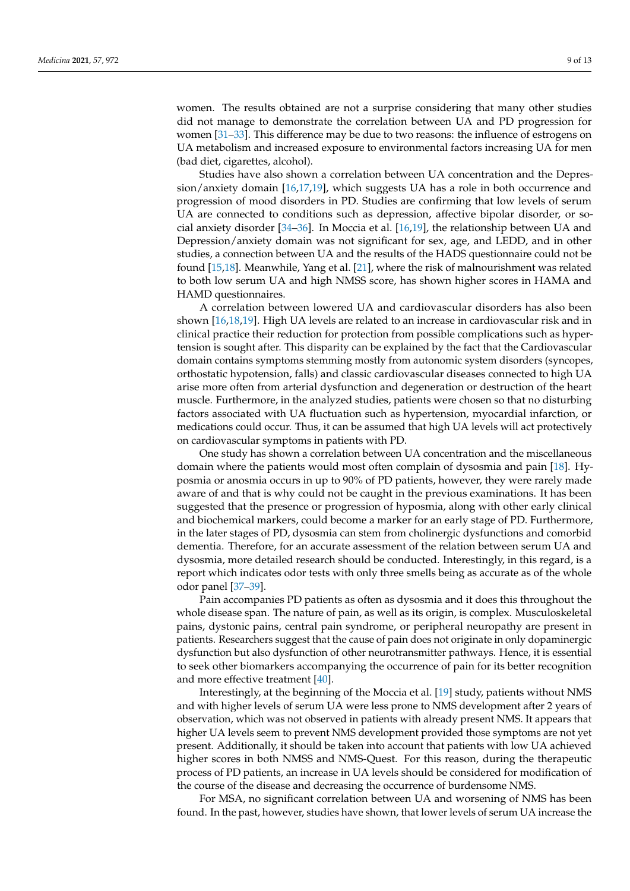women. The results obtained are not a surprise considering that many other studies did not manage to demonstrate the correlation between UA and PD progression for women [\[31](#page-11-16)[–33\]](#page-11-17). This difference may be due to two reasons: the influence of estrogens on UA metabolism and increased exposure to environmental factors increasing UA for men (bad diet, cigarettes, alcohol).

Studies have also shown a correlation between UA concentration and the Depression/anxiety domain [\[16](#page-11-4)[,17](#page-11-7)[,19\]](#page-11-3), which suggests UA has a role in both occurrence and progression of mood disorders in PD. Studies are confirming that low levels of serum UA are connected to conditions such as depression, affective bipolar disorder, or social anxiety disorder [\[34](#page-11-18)[–36\]](#page-11-19). In Moccia et al. [\[16,](#page-11-4)[19\]](#page-11-3), the relationship between UA and Depression/anxiety domain was not significant for sex, age, and LEDD, and in other studies, a connection between UA and the results of the HADS questionnaire could not be found [\[15](#page-11-1)[,18\]](#page-11-5). Meanwhile, Yang et al. [\[21\]](#page-11-2), where the risk of malnourishment was related to both low serum UA and high NMSS score, has shown higher scores in HAMA and HAMD questionnaires.

A correlation between lowered UA and cardiovascular disorders has also been shown [\[16](#page-11-4)[,18,](#page-11-5)[19\]](#page-11-3). High UA levels are related to an increase in cardiovascular risk and in clinical practice their reduction for protection from possible complications such as hypertension is sought after. This disparity can be explained by the fact that the Cardiovascular domain contains symptoms stemming mostly from autonomic system disorders (syncopes, orthostatic hypotension, falls) and classic cardiovascular diseases connected to high UA arise more often from arterial dysfunction and degeneration or destruction of the heart muscle. Furthermore, in the analyzed studies, patients were chosen so that no disturbing factors associated with UA fluctuation such as hypertension, myocardial infarction, or medications could occur. Thus, it can be assumed that high UA levels will act protectively on cardiovascular symptoms in patients with PD.

One study has shown a correlation between UA concentration and the miscellaneous domain where the patients would most often complain of dysosmia and pain [\[18\]](#page-11-5). Hyposmia or anosmia occurs in up to 90% of PD patients, however, they were rarely made aware of and that is why could not be caught in the previous examinations. It has been suggested that the presence or progression of hyposmia, along with other early clinical and biochemical markers, could become a marker for an early stage of PD. Furthermore, in the later stages of PD, dysosmia can stem from cholinergic dysfunctions and comorbid dementia. Therefore, for an accurate assessment of the relation between serum UA and dysosmia, more detailed research should be conducted. Interestingly, in this regard, is a report which indicates odor tests with only three smells being as accurate as of the whole odor panel [\[37–](#page-11-20)[39\]](#page-12-0).

Pain accompanies PD patients as often as dysosmia and it does this throughout the whole disease span. The nature of pain, as well as its origin, is complex. Musculoskeletal pains, dystonic pains, central pain syndrome, or peripheral neuropathy are present in patients. Researchers suggest that the cause of pain does not originate in only dopaminergic dysfunction but also dysfunction of other neurotransmitter pathways. Hence, it is essential to seek other biomarkers accompanying the occurrence of pain for its better recognition and more effective treatment [\[40\]](#page-12-1).

Interestingly, at the beginning of the Moccia et al. [\[19\]](#page-11-3) study, patients without NMS and with higher levels of serum UA were less prone to NMS development after 2 years of observation, which was not observed in patients with already present NMS. It appears that higher UA levels seem to prevent NMS development provided those symptoms are not yet present. Additionally, it should be taken into account that patients with low UA achieved higher scores in both NMSS and NMS-Quest. For this reason, during the therapeutic process of PD patients, an increase in UA levels should be considered for modification of the course of the disease and decreasing the occurrence of burdensome NMS.

For MSA, no significant correlation between UA and worsening of NMS has been found. In the past, however, studies have shown, that lower levels of serum UA increase the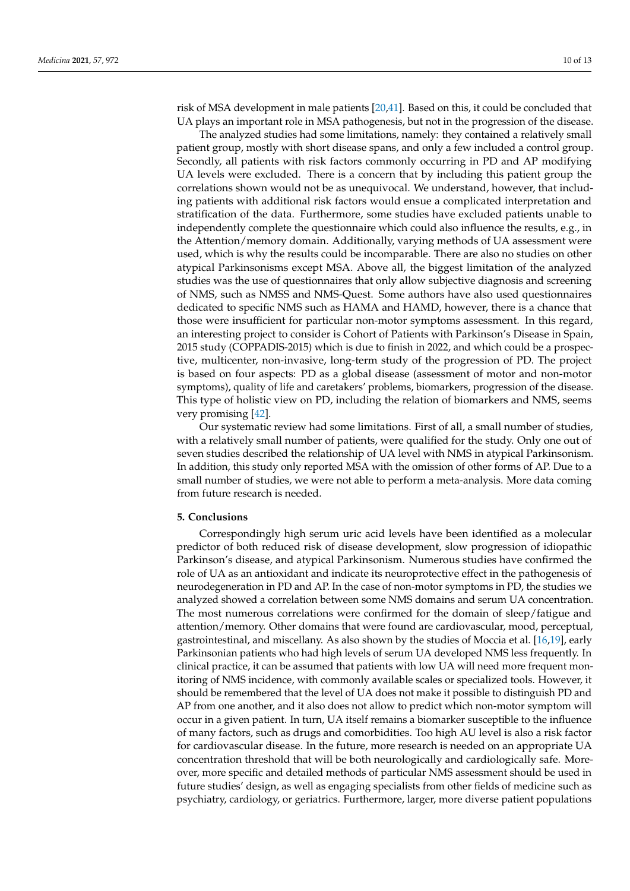risk of MSA development in male patients [\[20,](#page-11-6)[41\]](#page-12-2). Based on this, it could be concluded that UA plays an important role in MSA pathogenesis, but not in the progression of the disease.

The analyzed studies had some limitations, namely: they contained a relatively small patient group, mostly with short disease spans, and only a few included a control group. Secondly, all patients with risk factors commonly occurring in PD and AP modifying UA levels were excluded. There is a concern that by including this patient group the correlations shown would not be as unequivocal. We understand, however, that including patients with additional risk factors would ensue a complicated interpretation and stratification of the data. Furthermore, some studies have excluded patients unable to independently complete the questionnaire which could also influence the results, e.g., in the Attention/memory domain. Additionally, varying methods of UA assessment were used, which is why the results could be incomparable. There are also no studies on other atypical Parkinsonisms except MSA. Above all, the biggest limitation of the analyzed studies was the use of questionnaires that only allow subjective diagnosis and screening of NMS, such as NMSS and NMS-Quest. Some authors have also used questionnaires dedicated to specific NMS such as HAMA and HAMD, however, there is a chance that those were insufficient for particular non-motor symptoms assessment. In this regard, an interesting project to consider is Cohort of Patients with Parkinson's Disease in Spain, 2015 study (COPPADIS-2015) which is due to finish in 2022, and which could be a prospective, multicenter, non-invasive, long-term study of the progression of PD. The project is based on four aspects: PD as a global disease (assessment of motor and non-motor symptoms), quality of life and caretakers' problems, biomarkers, progression of the disease. This type of holistic view on PD, including the relation of biomarkers and NMS, seems very promising [\[42\]](#page-12-3).

Our systematic review had some limitations. First of all, a small number of studies, with a relatively small number of patients, were qualified for the study. Only one out of seven studies described the relationship of UA level with NMS in atypical Parkinsonism. In addition, this study only reported MSA with the omission of other forms of AP. Due to a small number of studies, we were not able to perform a meta-analysis. More data coming from future research is needed.

# **5. Conclusions**

Correspondingly high serum uric acid levels have been identified as a molecular predictor of both reduced risk of disease development, slow progression of idiopathic Parkinson's disease, and atypical Parkinsonism. Numerous studies have confirmed the role of UA as an antioxidant and indicate its neuroprotective effect in the pathogenesis of neurodegeneration in PD and AP. In the case of non-motor symptoms in PD, the studies we analyzed showed a correlation between some NMS domains and serum UA concentration. The most numerous correlations were confirmed for the domain of sleep/fatigue and attention/memory. Other domains that were found are cardiovascular, mood, perceptual, gastrointestinal, and miscellany. As also shown by the studies of Moccia et al. [\[16](#page-11-4)[,19\]](#page-11-3), early Parkinsonian patients who had high levels of serum UA developed NMS less frequently. In clinical practice, it can be assumed that patients with low UA will need more frequent monitoring of NMS incidence, with commonly available scales or specialized tools. However, it should be remembered that the level of UA does not make it possible to distinguish PD and AP from one another, and it also does not allow to predict which non-motor symptom will occur in a given patient. In turn, UA itself remains a biomarker susceptible to the influence of many factors, such as drugs and comorbidities. Too high AU level is also a risk factor for cardiovascular disease. In the future, more research is needed on an appropriate UA concentration threshold that will be both neurologically and cardiologically safe. Moreover, more specific and detailed methods of particular NMS assessment should be used in future studies' design, as well as engaging specialists from other fields of medicine such as psychiatry, cardiology, or geriatrics. Furthermore, larger, more diverse patient populations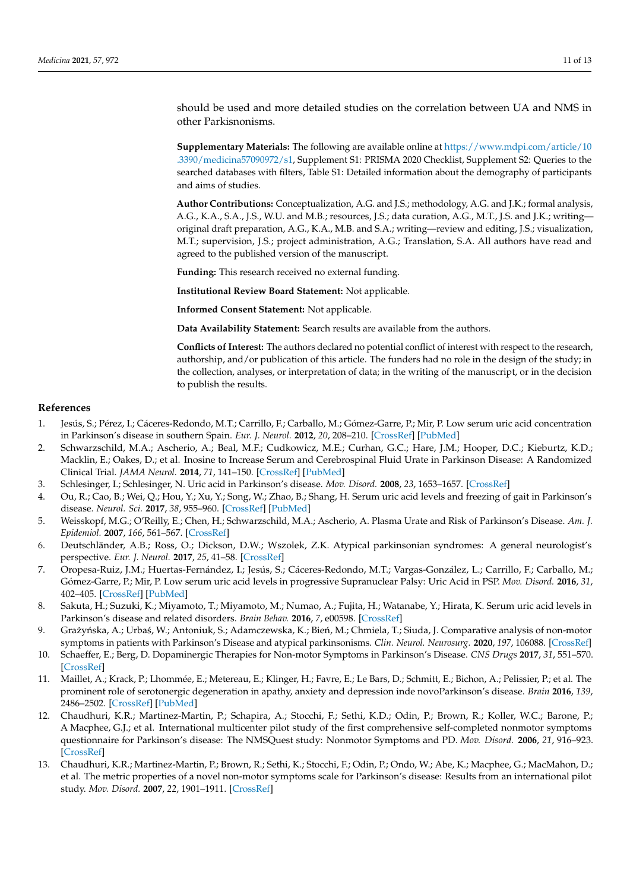should be used and more detailed studies on the correlation between UA and NMS in other Parkisnonisms.

**Supplementary Materials:** The following are available online at [https://www.mdpi.com/article/10](https://www.mdpi.com/article/10.3390/medicina57090972/s1) [.3390/medicina57090972/s1,](https://www.mdpi.com/article/10.3390/medicina57090972/s1) Supplement S1: PRISMA 2020 Checklist, Supplement S2: Queries to the searched databases with filters, Table S1: Detailed information about the demography of participants and aims of studies.

**Author Contributions:** Conceptualization, A.G. and J.S.; methodology, A.G. and J.K.; formal analysis, A.G., K.A., S.A., J.S., W.U. and M.B.; resources, J.S.; data curation, A.G., M.T., J.S. and J.K.; writing original draft preparation, A.G., K.A., M.B. and S.A.; writing—review and editing, J.S.; visualization, M.T.; supervision, J.S.; project administration, A.G.; Translation, S.A. All authors have read and agreed to the published version of the manuscript.

**Funding:** This research received no external funding.

**Institutional Review Board Statement:** Not applicable.

**Informed Consent Statement:** Not applicable.

**Data Availability Statement:** Search results are available from the authors.

**Conflicts of Interest:** The authors declared no potential conflict of interest with respect to the research, authorship, and/or publication of this article. The funders had no role in the design of the study; in the collection, analyses, or interpretation of data; in the writing of the manuscript, or in the decision to publish the results.

#### **References**

- <span id="page-10-0"></span>1. Jesús, S.; Pérez, I.; Cáceres-Redondo, M.T.; Carrillo, F.; Carballo, M.; Gómez-Garre, P.; Mir, P. Low serum uric acid concentration in Parkinson's disease in southern Spain. *Eur. J. Neurol.* **2012**, *20*, 208–210. [\[CrossRef\]](http://doi.org/10.1111/j.1468-1331.2012.03745.x) [\[PubMed\]](http://www.ncbi.nlm.nih.gov/pubmed/22577816)
- 2. Schwarzschild, M.A.; Ascherio, A.; Beal, M.F.; Cudkowicz, M.E.; Curhan, G.C.; Hare, J.M.; Hooper, D.C.; Kieburtz, K.D.; Macklin, E.; Oakes, D.; et al. Inosine to Increase Serum and Cerebrospinal Fluid Urate in Parkinson Disease: A Randomized Clinical Trial. *JAMA Neurol.* **2014**, *71*, 141–150. [\[CrossRef\]](http://doi.org/10.1001/jamaneurol.2013.5528) [\[PubMed\]](http://www.ncbi.nlm.nih.gov/pubmed/24366103)
- 3. Schlesinger, I.; Schlesinger, N. Uric acid in Parkinson's disease. *Mov. Disord.* **2008**, *23*, 1653–1657. [\[CrossRef\]](http://doi.org/10.1002/mds.22139)
- 4. Ou, R.; Cao, B.; Wei, Q.; Hou, Y.; Xu, Y.; Song, W.; Zhao, B.; Shang, H. Serum uric acid levels and freezing of gait in Parkinson's disease. *Neurol. Sci.* **2017**, *38*, 955–960. [\[CrossRef\]](http://doi.org/10.1007/s10072-017-2871-3) [\[PubMed\]](http://www.ncbi.nlm.nih.gov/pubmed/28251464)
- <span id="page-10-1"></span>5. Weisskopf, M.G.; O'Reilly, E.; Chen, H.; Schwarzschild, M.A.; Ascherio, A. Plasma Urate and Risk of Parkinson's Disease. *Am. J. Epidemiol.* **2007**, *166*, 561–567. [\[CrossRef\]](http://doi.org/10.1093/aje/kwm127)
- <span id="page-10-2"></span>6. Deutschländer, A.B.; Ross, O.; Dickson, D.W.; Wszolek, Z.K. Atypical parkinsonian syndromes: A general neurologist's perspective. *Eur. J. Neurol.* **2017**, *25*, 41–58. [\[CrossRef\]](http://doi.org/10.1111/ene.13412)
- <span id="page-10-3"></span>7. Oropesa-Ruiz, J.M.; Huertas-Fernández, I.; Jesús, S.; Cáceres-Redondo, M.T.; Vargas-González, L.; Carrillo, F.; Carballo, M.; Gómez-Garre, P.; Mir, P. Low serum uric acid levels in progressive Supranuclear Palsy: Uric Acid in PSP. *Mov. Disord.* **2016**, *31*, 402–405. [\[CrossRef\]](http://doi.org/10.1002/mds.26466) [\[PubMed\]](http://www.ncbi.nlm.nih.gov/pubmed/26686202)
- <span id="page-10-4"></span>8. Sakuta, H.; Suzuki, K.; Miyamoto, T.; Miyamoto, M.; Numao, A.; Fujita, H.; Watanabe, Y.; Hirata, K. Serum uric acid levels in Parkinson's disease and related disorders. *Brain Behav.* **2016**, *7*, e00598. [\[CrossRef\]](http://doi.org/10.1002/brb3.598)
- <span id="page-10-5"></span>9. Grażyńska, A.; Urbaś, W.; Antoniuk, S.; Adamczewska, K.; Bień, M.; Chmiela, T.; Siuda, J. Comparative analysis of non-motor symptoms in patients with Parkinson's Disease and atypical parkinsonisms. *Clin. Neurol. Neurosurg.* **2020**, *197*, 106088. [\[CrossRef\]](http://doi.org/10.1016/j.clineuro.2020.106088)
- <span id="page-10-6"></span>10. Schaeffer, E.; Berg, D. Dopaminergic Therapies for Non-motor Symptoms in Parkinson's Disease. *CNS Drugs* **2017**, *31*, 551–570. [\[CrossRef\]](http://doi.org/10.1007/s40263-017-0450-z)
- <span id="page-10-7"></span>11. Maillet, A.; Krack, P.; Lhommée, E.; Metereau, E.; Klinger, H.; Favre, E.; Le Bars, D.; Schmitt, E.; Bichon, A.; Pelissier, P.; et al. The prominent role of serotonergic degeneration in apathy, anxiety and depression inde novoParkinson's disease. *Brain* **2016**, *139*, 2486–2502. [\[CrossRef\]](http://doi.org/10.1093/brain/aww162) [\[PubMed\]](http://www.ncbi.nlm.nih.gov/pubmed/27538418)
- <span id="page-10-8"></span>12. Chaudhuri, K.R.; Martinez-Martin, P.; Schapira, A.; Stocchi, F.; Sethi, K.D.; Odin, P.; Brown, R.; Koller, W.C.; Barone, P.; A Macphee, G.J.; et al. International multicenter pilot study of the first comprehensive self-completed nonmotor symptoms questionnaire for Parkinson's disease: The NMSQuest study: Nonmotor Symptoms and PD. *Mov. Disord.* **2006**, *21*, 916–923. [\[CrossRef\]](http://doi.org/10.1002/mds.20844)
- <span id="page-10-9"></span>13. Chaudhuri, K.R.; Martinez-Martin, P.; Brown, R.; Sethi, K.; Stocchi, F.; Odin, P.; Ondo, W.; Abe, K.; Macphee, G.; MacMahon, D.; et al. The metric properties of a novel non-motor symptoms scale for Parkinson's disease: Results from an international pilot study. *Mov. Disord.* **2007**, *22*, 1901–1911. [\[CrossRef\]](http://doi.org/10.1002/mds.21596)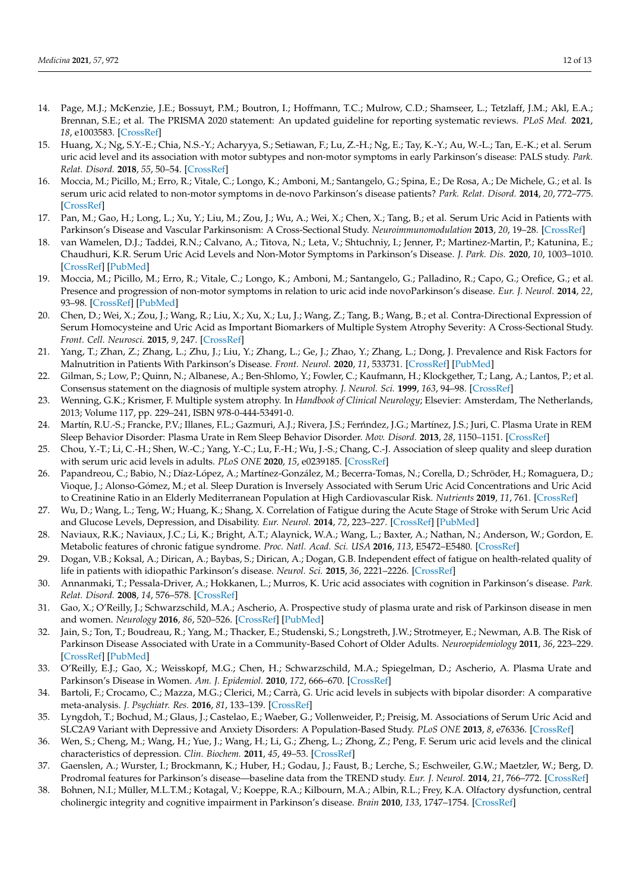- <span id="page-11-0"></span>14. Page, M.J.; McKenzie, J.E.; Bossuyt, P.M.; Boutron, I.; Hoffmann, T.C.; Mulrow, C.D.; Shamseer, L.; Tetzlaff, J.M.; Akl, E.A.; Brennan, S.E.; et al. The PRISMA 2020 statement: An updated guideline for reporting systematic reviews. *PLoS Med.* **2021**, *18*, e1003583. [\[CrossRef\]](http://doi.org/10.1371/journal.pmed.1003583)
- <span id="page-11-1"></span>15. Huang, X.; Ng, S.Y.-E.; Chia, N.S.-Y.; Acharyya, S.; Setiawan, F.; Lu, Z.-H.; Ng, E.; Tay, K.-Y.; Au, W.-L.; Tan, E.-K.; et al. Serum uric acid level and its association with motor subtypes and non-motor symptoms in early Parkinson's disease: PALS study. *Park. Relat. Disord.* **2018**, *55*, 50–54. [\[CrossRef\]](http://doi.org/10.1016/j.parkreldis.2018.05.010)
- <span id="page-11-4"></span>16. Moccia, M.; Picillo, M.; Erro, R.; Vitale, C.; Longo, K.; Amboni, M.; Santangelo, G.; Spina, E.; De Rosa, A.; De Michele, G.; et al. Is serum uric acid related to non-motor symptoms in de-novo Parkinson's disease patients? *Park. Relat. Disord.* **2014**, *20*, 772–775. [\[CrossRef\]](http://doi.org/10.1016/j.parkreldis.2014.03.016)
- <span id="page-11-7"></span>17. Pan, M.; Gao, H.; Long, L.; Xu, Y.; Liu, M.; Zou, J.; Wu, A.; Wei, X.; Chen, X.; Tang, B.; et al. Serum Uric Acid in Patients with Parkinson's Disease and Vascular Parkinsonism: A Cross-Sectional Study. *Neuroimmunomodulation* **2013**, *20*, 19–28. [\[CrossRef\]](http://doi.org/10.1159/000342483)
- <span id="page-11-5"></span>18. van Wamelen, D.J.; Taddei, R.N.; Calvano, A.; Titova, N.; Leta, V.; Shtuchniy, I.; Jenner, P.; Martinez-Martin, P.; Katunina, E.; Chaudhuri, K.R. Serum Uric Acid Levels and Non-Motor Symptoms in Parkinson's Disease. *J. Park. Dis.* **2020**, *10*, 1003–1010. [\[CrossRef\]](http://doi.org/10.3233/JPD-201988) [\[PubMed\]](http://www.ncbi.nlm.nih.gov/pubmed/32444561)
- <span id="page-11-3"></span>19. Moccia, M.; Picillo, M.; Erro, R.; Vitale, C.; Longo, K.; Amboni, M.; Santangelo, G.; Palladino, R.; Capo, G.; Orefice, G.; et al. Presence and progression of non-motor symptoms in relation to uric acid inde novoParkinson's disease. *Eur. J. Neurol.* **2014**, *22*, 93–98. [\[CrossRef\]](http://doi.org/10.1111/ene.12533) [\[PubMed\]](http://www.ncbi.nlm.nih.gov/pubmed/25104282)
- <span id="page-11-6"></span>20. Chen, D.; Wei, X.; Zou, J.; Wang, R.; Liu, X.; Xu, X.; Lu, J.; Wang, Z.; Tang, B.; Wang, B.; et al. Contra-Directional Expression of Serum Homocysteine and Uric Acid as Important Biomarkers of Multiple System Atrophy Severity: A Cross-Sectional Study. *Front. Cell. Neurosci.* **2015**, *9*, 247. [\[CrossRef\]](http://doi.org/10.3389/fnagi.2017.00247)
- <span id="page-11-2"></span>21. Yang, T.; Zhan, Z.; Zhang, L.; Zhu, J.; Liu, Y.; Zhang, L.; Ge, J.; Zhao, Y.; Zhang, L.; Dong, J. Prevalence and Risk Factors for Malnutrition in Patients With Parkinson's Disease. *Front. Neurol.* **2020**, *11*, 533731. [\[CrossRef\]](http://doi.org/10.3389/fneur.2020.533731) [\[PubMed\]](http://www.ncbi.nlm.nih.gov/pubmed/33362679)
- <span id="page-11-8"></span>22. Gilman, S.; Low, P.; Quinn, N.; Albanese, A.; Ben-Shlomo, Y.; Fowler, C.; Kaufmann, H.; Klockgether, T.; Lang, A.; Lantos, P.; et al. Consensus statement on the diagnosis of multiple system atrophy. *J. Neurol. Sci.* **1999**, *163*, 94–98. [\[CrossRef\]](http://doi.org/10.1016/S0022-510X(98)00304-9)
- <span id="page-11-9"></span>23. Wenning, G.K.; Krismer, F. Multiple system atrophy. In *Handbook of Clinical Neurology*; Elsevier: Amsterdam, The Netherlands, 2013; Volume 117, pp. 229–241, ISBN 978-0-444-53491-0.
- <span id="page-11-10"></span>24. Martín, R.U.-S.; Francke, P.V.; Illanes, F.L.; Gazmuri, A.J.; Rivera, J.S.; Ferńndez, J.G.; Martínez, J.S.; Juri, C. Plasma Urate in REM Sleep Behavior Disorder: Plasma Urate in Rem Sleep Behavior Disorder. *Mov. Disord.* **2013**, *28*, 1150–1151. [\[CrossRef\]](http://doi.org/10.1002/mds.25441)
- <span id="page-11-11"></span>25. Chou, Y.-T.; Li, C.-H.; Shen, W.-C.; Yang, Y.-C.; Lu, F.-H.; Wu, J.-S.; Chang, C.-J. Association of sleep quality and sleep duration with serum uric acid levels in adults. *PLoS ONE* **2020**, *15*, e0239185. [\[CrossRef\]](http://doi.org/10.1371/journal.pone.0239185)
- <span id="page-11-12"></span>26. Papandreou, C.; Babio, N.; Díaz-López, A.; Martínez-González, M.; Becerra-Tomas, N.; Corella, D.; Schröder, H.; Romaguera, D.; Vioque, J.; Alonso-Gómez, M.; et al. Sleep Duration is Inversely Associated with Serum Uric Acid Concentrations and Uric Acid to Creatinine Ratio in an Elderly Mediterranean Population at High Cardiovascular Risk. *Nutrients* **2019**, *11*, 761. [\[CrossRef\]](http://doi.org/10.3390/nu11040761)
- <span id="page-11-13"></span>27. Wu, D.; Wang, L.; Teng, W.; Huang, K.; Shang, X. Correlation of Fatigue during the Acute Stage of Stroke with Serum Uric Acid and Glucose Levels, Depression, and Disability. *Eur. Neurol.* **2014**, *72*, 223–227. [\[CrossRef\]](http://doi.org/10.1159/000364902) [\[PubMed\]](http://www.ncbi.nlm.nih.gov/pubmed/25247752)
- 28. Naviaux, R.K.; Naviaux, J.C.; Li, K.; Bright, A.T.; Alaynick, W.A.; Wang, L.; Baxter, A.; Nathan, N.; Anderson, W.; Gordon, E. Metabolic features of chronic fatigue syndrome. *Proc. Natl. Acad. Sci. USA* **2016**, *113*, E5472–E5480. [\[CrossRef\]](http://doi.org/10.1073/pnas.1607571113)
- <span id="page-11-14"></span>29. Dogan, V.B.; Koksal, A.; Dirican, A.; Baybas, S.; Dirican, A.; Dogan, G.B. Independent effect of fatigue on health-related quality of life in patients with idiopathic Parkinson's disease. *Neurol. Sci.* **2015**, *36*, 2221–2226. [\[CrossRef\]](http://doi.org/10.1007/s10072-015-2340-9)
- <span id="page-11-15"></span>30. Annanmaki, T.; Pessala-Driver, A.; Hokkanen, L.; Murros, K. Uric acid associates with cognition in Parkinson's disease. *Park. Relat. Disord.* **2008**, *14*, 576–578. [\[CrossRef\]](http://doi.org/10.1016/j.parkreldis.2007.11.001)
- <span id="page-11-16"></span>31. Gao, X.; O'Reilly, J.; Schwarzschild, M.A.; Ascherio, A. Prospective study of plasma urate and risk of Parkinson disease in men and women. *Neurology* **2016**, *86*, 520–526. [\[CrossRef\]](http://doi.org/10.1212/WNL.0000000000002351) [\[PubMed\]](http://www.ncbi.nlm.nih.gov/pubmed/26764029)
- 32. Jain, S.; Ton, T.; Boudreau, R.; Yang, M.; Thacker, E.; Studenski, S.; Longstreth, J.W.; Strotmeyer, E.; Newman, A.B. The Risk of Parkinson Disease Associated with Urate in a Community-Based Cohort of Older Adults. *Neuroepidemiology* **2011**, *36*, 223–229. [\[CrossRef\]](http://doi.org/10.1159/000327748) [\[PubMed\]](http://www.ncbi.nlm.nih.gov/pubmed/21677446)
- <span id="page-11-17"></span>33. O'Reilly, E.J.; Gao, X.; Weisskopf, M.G.; Chen, H.; Schwarzschild, M.A.; Spiegelman, D.; Ascherio, A. Plasma Urate and Parkinson's Disease in Women. *Am. J. Epidemiol.* **2010**, *172*, 666–670. [\[CrossRef\]](http://doi.org/10.1093/aje/kwq195)
- <span id="page-11-18"></span>34. Bartoli, F.; Crocamo, C.; Mazza, M.G.; Clerici, M.; Carrà, G. Uric acid levels in subjects with bipolar disorder: A comparative meta-analysis. *J. Psychiatr. Res.* **2016**, *81*, 133–139. [\[CrossRef\]](http://doi.org/10.1016/j.jpsychires.2016.07.007)
- 35. Lyngdoh, T.; Bochud, M.; Glaus, J.; Castelao, E.; Waeber, G.; Vollenweider, P.; Preisig, M. Associations of Serum Uric Acid and SLC2A9 Variant with Depressive and Anxiety Disorders: A Population-Based Study. *PLoS ONE* **2013**, *8*, e76336. [\[CrossRef\]](http://doi.org/10.1371/journal.pone.0076336)
- <span id="page-11-19"></span>36. Wen, S.; Cheng, M.; Wang, H.; Yue, J.; Wang, H.; Li, G.; Zheng, L.; Zhong, Z.; Peng, F. Serum uric acid levels and the clinical characteristics of depression. *Clin. Biochem.* **2011**, *45*, 49–53. [\[CrossRef\]](http://doi.org/10.1016/j.clinbiochem.2011.10.010)
- <span id="page-11-20"></span>37. Gaenslen, A.; Wurster, I.; Brockmann, K.; Huber, H.; Godau, J.; Faust, B.; Lerche, S.; Eschweiler, G.W.; Maetzler, W.; Berg, D. Prodromal features for Parkinson's disease—baseline data from the TREND study. *Eur. J. Neurol.* **2014**, *21*, 766–772. [\[CrossRef\]](http://doi.org/10.1111/ene.12382)
- 38. Bohnen, N.I.; Müller, M.L.T.M.; Kotagal, V.; Koeppe, R.A.; Kilbourn, M.A.; Albin, R.L.; Frey, K.A. Olfactory dysfunction, central cholinergic integrity and cognitive impairment in Parkinson's disease. *Brain* **2010**, *133*, 1747–1754. [\[CrossRef\]](http://doi.org/10.1093/brain/awq079)